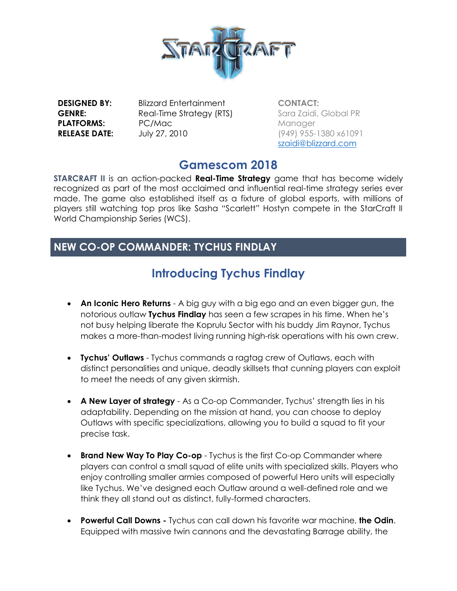

**PLATFORMS:** PC/Mac **RELEASE DATE:** July 27, 2010

**DESIGNED BY:** Blizzard Entertainment **GENRE:** Real-Time Strategy (RTS)

**CONTACT:**  Sara Zaidi, Global PR **Manager** (949) 955-1380 x61091 [szaidi@blizzard.com](mailto:szaidi@blizzard.com)

### **Gamescom 2018**

**STARCRAFT II** is an action-packed **Real-Time Strategy** game that has become widely recognized as part of the most acclaimed and influential real-time strategy series ever made. The game also established itself as a fixture of global esports, with millions of players still watching top pros like Sasha "Scarlett" Hostyn compete in the StarCraft II World Championship Series (WCS).

### **NEW CO-OP COMMANDER: TYCHUS FINDLAY**

# **Introducing Tychus Findlay**

- **An Iconic Hero Returns** A big guy with a big ego and an even bigger gun, the notorious outlaw **Tychus Findlay** has seen a few scrapes in his time. When he's not busy helping liberate the Koprulu Sector with his buddy Jim Raynor, Tychus makes a more-than-modest living running high-risk operations with his own crew.
- **Tychus' Outlaws** Tychus commands a ragtag crew of Outlaws, each with distinct personalities and unique, deadly skillsets that cunning players can exploit to meet the needs of any given skirmish.
- **A New Layer of strategy** As a Co-op Commander, Tychus' strength lies in his adaptability. Depending on the mission at hand, you can choose to deploy Outlaws with specific specializations, allowing you to build a squad to fit your precise task.
- **Brand New Way To Play Co-op** Tychus is the first Co-op Commander where players can control a small squad of elite units with specialized skills. Players who enjoy controlling smaller armies composed of powerful Hero units will especially like Tychus. We've designed each Outlaw around a well-defined role and we think they all stand out as distinct, fully-formed characters.
- **Powerful Call Downs -** Tychus can call down his favorite war machine, **the Odin**. Equipped with massive twin cannons and the devastating Barrage ability, the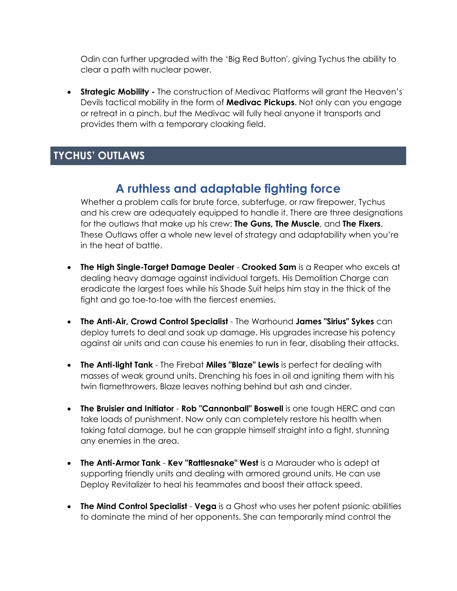Odin can further upgraded with the 'Big Red Button', giving Tychus the ability to clear a path with nuclear power.

• **Strategic Mobility -** The construction of Medivac Platforms will grant the Heaven's Devils tactical mobility in the form of **Medivac Pickups**. Not only can you engage or retreat in a pinch, but the Medivac will fully heal anyone it transports and provides them with a temporary cloaking field.

### **TYCHUS' OUTLAWS**

## **A ruthless and adaptable fighting force**

Whether a problem calls for brute force, subterfuge, or raw firepower, Tychus and his crew are adequately equipped to handle it. There are three designations for the outlaws that make up his crew: **The Guns, The Muscle**, and **The Fixers**. These Outlaws offer a whole new level of strategy and adaptability when you're in the heat of battle.

- **The High Single-Target Damage Dealer Crooked Sam** is a Reaper who excels at dealing heavy damage against individual targets. His Demolition Charge can eradicate the largest foes while his Shade Suit helps him stay in the thick of the fight and go toe-to-toe with the fiercest enemies.
- **The Anti-Air, Crowd Control Specialist** The Warhound **James "Sirius" Sykes** can deploy turrets to deal and soak up damage. His upgrades increase his potency against air units and can cause his enemies to run in fear, disabling their attacks.
- **The Anti-light Tank** The Firebat **Miles "Blaze" Lewis** is perfect for dealing with masses of weak ground units. Drenching his foes in oil and igniting them with his twin flamethrowers, Blaze leaves nothing behind but ash and cinder.
- **The Bruisier and Initiator Rob "Cannonball" Boswell** is one tough HERC and can take loads of punishment. Now only can completely restore his health when taking fatal damage, but he can grapple himself straight into a fight, stunning any enemies in the area.
- **The Anti-Armor Tank Kev "Rattlesnake" West** is a Marauder who is adept at supporting friendly units and dealing with armored ground units. He can use Deploy Revitalizer to heal his teammates and boost their attack speed.
- **The Mind Control Specialist Vega** is a Ghost who uses her potent psionic abilities to dominate the mind of her opponents. She can temporarily mind control the